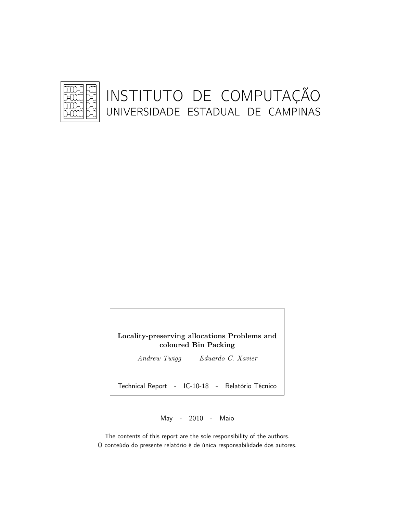

Locality-preserving allocations Problems and coloured Bin Packing

Andrew Twigg Eduardo C. Xavier

Technical Report - IC-10-18 - Relatório Técnico

May - 2010 - Maio

The contents of this report are the sole responsibility of the authors. O conteúdo do presente relatório é de única responsabilidade dos autores.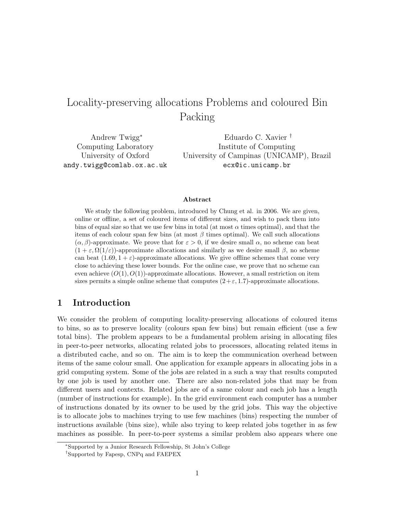# Locality-preserving allocations Problems and coloured Bin Packing

Andrew Twigg<sup>∗</sup> Computing Laboratory University of Oxford andy.twigg@comlab.ox.ac.uk Eduardo C. Xavier † Institute of Computing ecx@ic.unicamp.br

University of Campinas (UNICAMP), Brazil

#### Abstract

We study the following problem, introduced by Chung et al. in 2006. We are given, online or offline, a set of coloured items of different sizes, and wish to pack them into bins of equal size so that we use few bins in total (at most  $\alpha$  times optimal), and that the items of each colour span few bins (at most  $\beta$  times optimal). We call such allocations  $(\alpha, \beta)$ -approximate. We prove that for  $\varepsilon > 0$ , if we desire small  $\alpha$ , no scheme can beat  $(1 + \varepsilon, \Omega(1/\varepsilon))$ -approximate allocations and similarly as we desire small  $\beta$ , no scheme can beat  $(1.69, 1 + \varepsilon)$ -approximate allocations. We give offline schemes that come very close to achieving these lower bounds. For the online case, we prove that no scheme can even achieve  $(O(1), O(1))$ -approximate allocations. However, a small restriction on item sizes permits a simple online scheme that computes  $(2+\varepsilon, 1.7)$ -approximate allocations.

# 1 Introduction

We consider the problem of computing locality-preserving allocations of coloured items to bins, so as to preserve locality (colours span few bins) but remain efficient (use a few total bins). The problem appears to be a fundamental problem arising in allocating files in peer-to-peer networks, allocating related jobs to processors, allocating related items in a distributed cache, and so on. The aim is to keep the communication overhead between items of the same colour small. One application for example appears in allocating jobs in a grid computing system. Some of the jobs are related in a such a way that results computed by one job is used by another one. There are also non-related jobs that may be from different users and contexts. Related jobs are of a same colour and each job has a length (number of instructions for example). In the grid environment each computer has a number of instructions donated by its owner to be used by the grid jobs. This way the objective is to allocate jobs to machines trying to use few machines (bins) respecting the number of instructions available (bins size), while also trying to keep related jobs together in as few machines as possible. In peer-to-peer systems a similar problem also appears where one

<sup>∗</sup>Supported by a Junior Research Fellowship, St John's College

<sup>†</sup>Supported by Fapesp, CNPq and FAEPEX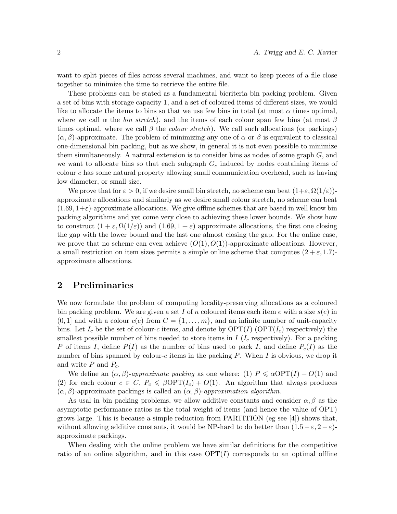want to split pieces of files across several machines, and want to keep pieces of a file close together to minimize the time to retrieve the entire file.

These problems can be stated as a fundamental bicriteria bin packing problem. Given a set of bins with storage capacity 1, and a set of coloured items of different sizes, we would like to allocate the items to bins so that we use few bins in total (at most  $\alpha$  times optimal, where we call  $\alpha$  the *bin stretch*), and the items of each colour span few bins (at most  $\beta$ times optimal, where we call  $\beta$  the *colour stretch*). We call such allocations (or packings)  $(\alpha, \beta)$ -approximate. The problem of minimizing any one of  $\alpha$  or  $\beta$  is equivalent to classical one-dimensional bin packing, but as we show, in general it is not even possible to minimize them simultaneously. A natural extension is to consider bins as nodes of some graph  $G$ , and we want to allocate bins so that each subgraph  $G_c$  induced by nodes containing items of colour c has some natural property allowing small communication overhead, such as having low diameter, or small size.

We prove that for  $\varepsilon > 0$ , if we desire small bin stretch, no scheme can beat  $(1+\varepsilon, \Omega(1/\varepsilon))$ approximate allocations and similarly as we desire small colour stretch, no scheme can beat  $(1.69, 1+\varepsilon)$ -approximate allocations. We give offline schemes that are based in well know bin packing algorithms and yet come very close to achieving these lower bounds. We show how to construct  $(1 + \varepsilon, \Omega(1/\varepsilon))$  and  $(1.69, 1 + \varepsilon)$  approximate allocations, the first one closing the gap with the lower bound and the last one almost closing the gap. For the online case, we prove that no scheme can even achieve  $(O(1), O(1))$ -approximate allocations. However, a small restriction on item sizes permits a simple online scheme that computes  $(2 + \varepsilon, 1.7)$ approximate allocations.

## 2 Preliminaries

We now formulate the problem of computing locality-preserving allocations as a coloured bin packing problem. We are given a set I of n coloured items each item e with a size  $s(e)$  in  $(0, 1]$  and with a colour  $c(e)$  from  $C = \{1, \ldots, m\}$ , and an infinite number of unit-capacity bins. Let  $I_c$  be the set of colour-c items, and denote by  $\text{OPT}(I)$  (OPT $(I_c)$ ) respectively) the smallest possible number of bins needed to store items in  $I(I_c$  respectively). For a packing P of items I, define  $P(I)$  as the number of bins used to pack I, and define  $P<sub>c</sub>(I)$  as the number of bins spanned by colour-c items in the packing  $P$ . When I is obvious, we drop it and write  $P$  and  $P_c$ .

We define an  $(\alpha, \beta)$ -approximate packing as one where: (1)  $P \le \alpha \text{OPT}(I) + O(1)$  and (2) for each colour  $c \in C$ ,  $P_c \leq \beta \text{OPT}(I_c) + O(1)$ . An algorithm that always produces  $(\alpha, \beta)$ -approximate packings is called an  $(\alpha, \beta)$ -approximation algorithm.

As usal in bin packing problems, we allow additive constants and consider  $\alpha, \beta$  as the asymptotic performance ratios as the total weight of items (and hence the value of OPT) grows large. This is because a simple reduction from PARTITION (eg see  $[4]$ ) shows that, without allowing additive constants, it would be NP-hard to do better than  $(1.5 - \varepsilon, 2 - \varepsilon)$ approximate packings.

When dealing with the online problem we have similar definitions for the competitive ratio of an online algorithm, and in this case  $\text{OPT}(I)$  corresponds to an optimal offline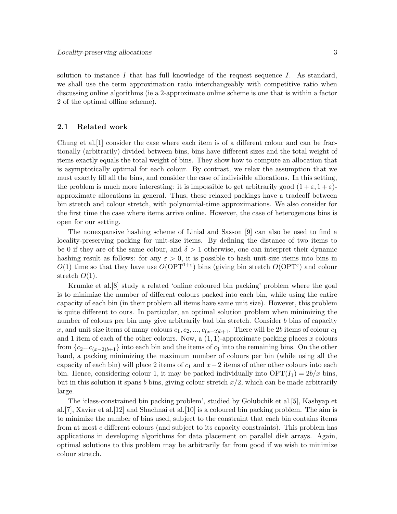solution to instance I that has full knowledge of the request sequence I. As standard, we shall use the term approximation ratio interchangeably with competitive ratio when discussing online algorithms (ie a 2-approximate online scheme is one that is within a factor 2 of the optimal offline scheme).

#### 2.1 Related work

Chung et al.[1] consider the case where each item is of a different colour and can be fractionally (arbitrarily) divided between bins, bins have different sizes and the total weight of items exactly equals the total weight of bins. They show how to compute an allocation that is asymptotically optimal for each colour. By contrast, we relax the assumption that we must exactly fill all the bins, and consider the case of indivisible allocations. In this setting, the problem is much more interesting: it is impossible to get arbitrarily good  $(1 + \varepsilon, 1 + \varepsilon)$ approximate allocations in general. Thus, these relaxed packings have a tradeoff between bin stretch and colour stretch, with polynomial-time approximations. We also consider for the first time the case where items arrive online. However, the case of heterogenous bins is open for our setting.

The nonexpansive hashing scheme of Linial and Sasson [9] can also be used to find a locality-preserving packing for unit-size items. By defining the distance of two items to be 0 if they are of the same colour, and  $\delta > 1$  otherwise, one can interpret their dynamic hashing result as follows: for any  $\varepsilon > 0$ , it is possible to hash unit-size items into bins in  $O(1)$  time so that they have use  $O(OPT^{1+\epsilon})$  bins (giving bin stretch  $O(OPT^{\epsilon})$  and colour stretch  $O(1)$ .

Krumke et al.[8] study a related 'online coloured bin packing' problem where the goal is to minimize the number of different colours packed into each bin, while using the entire capacity of each bin (in their problem all items have same unit size). However, this problem is quite different to ours. In particular, an optimal solution problem when minimizing the number of colours per bin may give arbitrarily bad bin stretch. Consider b bins of capacity x, and unit size items of many colours  $c_1, c_2, ..., c_{(x-2)b+1}$ . There will be 2b items of colour  $c_1$ and 1 item of each of the other colours. Now, a  $(1, 1)$ -approximate packing places x colours from  $\{c_2...c_{(x-2)b+1}\}\$  into each bin and the items of  $c_1$  into the remaining bins. On the other hand, a packing minimizing the maximum number of colours per bin (while using all the capacity of each bin) will place 2 items of  $c_1$  and  $x-2$  items of other other colours into each bin. Hence, considering colour 1, it may be packed individually into  $\text{OPT}(I_1) = 2b/x$  bins, but in this solution it spans b bins, giving colour stretch  $x/2$ , which can be made arbitrarily large.

The 'class-constrained bin packing problem', studied by Golubchik et al.[5], Kashyap et al.[7], Xavier et al.[12] and Shachnai et al.[10] is a coloured bin packing problem. The aim is to minimize the number of bins used, subject to the constraint that each bin contains items from at most c different colours (and subject to its capacity constraints). This problem has applications in developing algorithms for data placement on parallel disk arrays. Again, optimal solutions to this problem may be arbitrarily far from good if we wish to minimize colour stretch.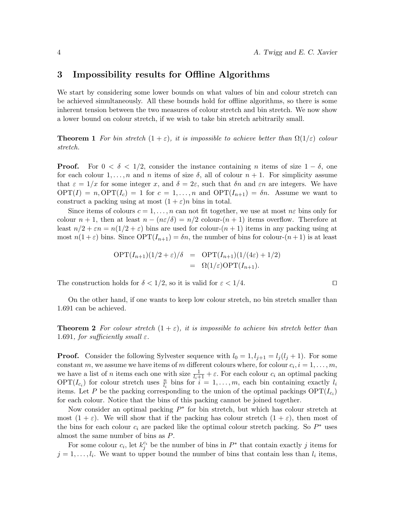## 3 Impossibility results for Offline Algorithms

We start by considering some lower bounds on what values of bin and colour stretch can be achieved simultaneously. All these bounds hold for offline algorithms, so there is some inherent tension between the two measures of colour stretch and bin stretch. We now show a lower bound on colour stretch, if we wish to take bin stretch arbitrarily small.

**Theorem 1** For bin stretch  $(1 + \varepsilon)$ , it is impossible to achieve better than  $\Omega(1/\varepsilon)$  colour stretch.

**Proof.** For  $0 < \delta < 1/2$ , consider the instance containing n items of size  $1 - \delta$ , one for each colour  $1, \ldots, n$  and n items of size  $\delta$ , all of colour  $n + 1$ . For simplicity assume that  $\varepsilon = 1/x$  for some integer x, and  $\delta = 2\varepsilon$ , such that  $\delta n$  and  $\varepsilon n$  are integers. We have  $\text{OPT}(I) = n, \text{OPT}(I_c) = 1$  for  $c = 1, ..., n$  and  $\text{OPT}(I_{n+1}) = \delta n$ . Assume we want to construct a packing using at most  $(1 + \varepsilon)n$  bins in total.

Since items of colours  $c = 1, \ldots, n$  can not fit together, we use at most  $n\epsilon$  bins only for colour  $n + 1$ , then at least  $n - (n\varepsilon/\delta) = n/2$  colour- $(n + 1)$  items overflow. Therefore at least  $n/2 + \varepsilon n = n(1/2 + \varepsilon)$  bins are used for colour- $(n + 1)$  items in any packing using at most  $n(1+\varepsilon)$  bins. Since  $\text{OPT}(I_{n+1}) = \delta n$ , the number of bins for colour- $(n+1)$  is at least

$$
OPT(I_{n+1})(1/2 + \varepsilon)/\delta = OPT(I_{n+1})(1/(4\varepsilon) + 1/2)
$$
  
=  $\Omega(1/\varepsilon)OPT(I_{n+1}).$ 

The construction holds for  $\delta < 1/2$ , so it is valid for  $\varepsilon < 1/4$ .

On the other hand, if one wants to keep low colour stretch, no bin stretch smaller than 1.691 can be achieved.

**Theorem 2** For colour stretch  $(1 + \varepsilon)$ , it is impossible to achieve bin stretch better than 1.691, for sufficiently small  $\varepsilon$ .

**Proof.** Consider the following Sylvester sequence with  $l_0 = 1, l_{j+1} = l_j(l_j + 1)$ . For some constant m, we assume we have items of m different colours where, for colour  $c_i$ ,  $i = 1, \ldots, m$ , we have a list of *n* items each one with size  $\frac{1}{l_i+1} + \varepsilon$ . For each colour  $c_i$  an optimal packing  $\text{OPT}(I_{c_i})$  for colour stretch uses  $\frac{n}{l_i}$  bins for  $i = 1, \ldots, m$ , each bin containing exactly  $l_i$ items. Let P be the packing corresponding to the union of the optimal packings  $\text{OPT}(I_{c_i})$ for each colour. Notice that the bins of this packing cannot be joined together.

Now consider an optimal packing  $P^*$  for bin stretch, but which has colour stretch at most  $(1 + \varepsilon)$ . We will show that if the packing has colour stretch  $(1 + \varepsilon)$ , then most of the bins for each colour  $c_i$  are packed like the optimal colour stretch packing. So  $P^*$  uses almost the same number of bins as P.

For some colour  $c_i$ , let  $k_j^{c_i}$  be the number of bins in  $P^*$  that contain exactly j items for  $j = 1, \ldots, l_i$ . We want to upper bound the number of bins that contain less than  $l_i$  items,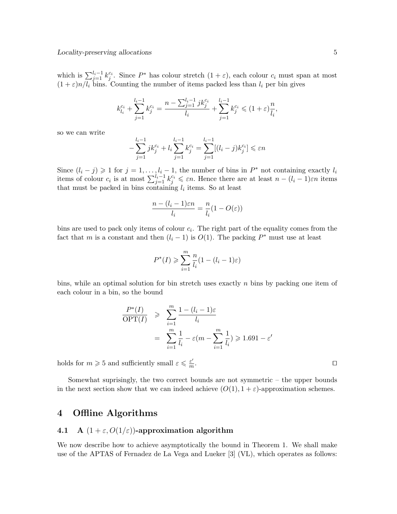which is  $\sum_{j=1}^{l_i-1} k_j^{c_i}$ . Since  $P^*$  has colour stretch  $(1+\varepsilon)$ , each colour  $c_i$  must span at most  $(1 + \varepsilon)n/l_i$  bins. Counting the number of items packed less than  $l_i$  per bin gives

$$
k_{l_i}^{c_i} + \sum_{j=1}^{l_i-1} k_j^{c_i} = \frac{n - \sum_{j=1}^{l_i-1} j k_j^{c_i}}{l_i} + \sum_{j=1}^{l_i-1} k_j^{c_i} \leq (1 + \varepsilon) \frac{n}{l_i},
$$

so we can write

$$
-\sum_{j=1}^{l_i-1} j k_j^{c_i} + l_i \sum_{j=1}^{l_i-1} k_j^{c_i} = \sum_{j=1}^{l_i-1} [(l_i-j)k_j^{c_i}] \le \varepsilon n
$$

Since  $(l_i - j) \geq 1$  for  $j = 1, ..., l_i - 1$ , the number of bins in  $P^*$  not containing exactly  $l_i$ items of colour  $c_i$  is at most  $\sum_{j=1}^{l_i-1} k_j^{c_i} \leqslant \varepsilon n$ . Hence there are at least  $n - (l_i - 1)\varepsilon n$  items that must be packed in bins containing  $l_i$  items. So at least

$$
\frac{n - (l_i - 1)\varepsilon n}{l_i} = \frac{n}{l_i}(1 - O(\varepsilon))
$$

bins are used to pack only items of colour  $c_i$ . The right part of the equality comes from the fact that m is a constant and then  $(l_i - 1)$  is  $O(1)$ . The packing  $P^*$  must use at least

$$
P^*(I) \geqslant \sum_{i=1}^m \frac{n}{l_i} (1 - (l_i - 1)\varepsilon)
$$

bins, while an optimal solution for bin stretch uses exactly  $n$  bins by packing one item of each colour in a bin, so the bound

$$
\frac{P^*(I)}{\text{OPT}(I)} \geqslant \sum_{i=1}^m \frac{1 - (l_i - 1)\varepsilon}{l_i}
$$
\n
$$
= \sum_{i=1}^m \frac{1}{l_i} - \varepsilon(m - \sum_{i=1}^m \frac{1}{l_i}) \geqslant 1.691 - \varepsilon'
$$

holds for  $m \geqslant 5$  and sufficiently small  $\varepsilon \leqslant \frac{\varepsilon'}{m}$  $\overline{m}$ 

Somewhat suprisingly, the two correct bounds are not symmetric – the upper bounds in the next section show that we can indeed achieve  $(O(1), 1 + \varepsilon)$ -approximation schemes.

# 4 Offline Algorithms

## 4.1 A  $(1 + \varepsilon, O(1/\varepsilon))$ -approximation algorithm

We now describe how to achieve asymptotically the bound in Theorem 1. We shall make use of the APTAS of Fernadez de La Vega and Lueker [3] (VL), which operates as follows:

. The contract of the contract of the contract of the contract of the contract of the contract of the contract of the contract of the contract of the contract of the contract of the contract of the contract of the contract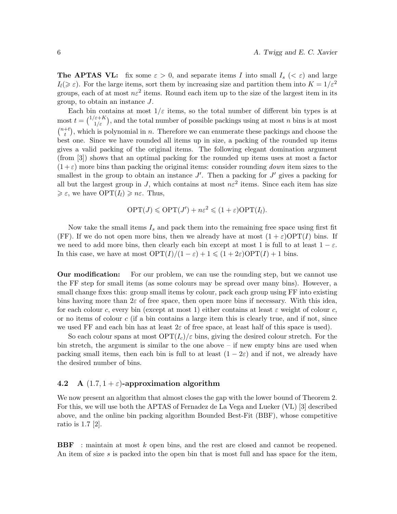**The APTAS VL:** fix some  $\varepsilon > 0$ , and separate items I into small  $I_s \leq \varepsilon$ ) and large  $I_l(\geq \varepsilon)$ . For the large items, sort them by increasing size and partition them into  $K = 1/\varepsilon^2$ groups, each of at most  $n\varepsilon^2$  items. Round each item up to the size of the largest item in its group, to obtain an instance J.

Each bin contains at most  $1/\varepsilon$  items, so the total number of different bin types is at most  $t = \binom{1/\varepsilon + K}{1/\varepsilon}$ , and the total number of possible packings using at most n bins is at most  $\binom{n+t}{t}$  $(t<sub>t</sub><sup>+t</sup>)$ , which is polynomial in *n*. Therefore we can enumerate these packings and choose the best one. Since we have rounded all items up in size, a packing of the rounded up items gives a valid packing of the original items. The following elegant domination argument (from [3]) shows that an optimal packing for the rounded up items uses at most a factor  $(1+\varepsilon)$  more bins than packing the original items: consider rounding *down* item sizes to the smallest in the group to obtain an instance  $J'$ . Then a packing for  $J'$  gives a packing for all but the largest group in J, which contains at most  $n\epsilon^2$  items. Since each item has size  $\geq \varepsilon$ , we have  $\text{OPT}(I_l) \geq n\varepsilon$ . Thus,

$$
\text{OPT}(J) \leqslant \text{OPT}(J') + n\varepsilon^2 \leqslant (1 + \varepsilon)\text{OPT}(I_l).
$$

Now take the small items  $I_s$  and pack them into the remaining free space using first fit (FF). If we do not open more bins, then we already have at most  $(1 + \varepsilon) \text{OPT}(I)$  bins. If we need to add more bins, then clearly each bin except at most 1 is full to at least  $1 - \varepsilon$ . In this case, we have at most  $\text{OPT}(I)/(1-\varepsilon) + 1 \leq (1+2\varepsilon)\text{OPT}(I) + 1$  bins.

Our modification: For our problem, we can use the rounding step, but we cannot use the FF step for small items (as some colours may be spread over many bins). However, a small change fixes this: group small items by colour, pack each group using FF into existing bins having more than  $2\varepsilon$  of free space, then open more bins if necessary. With this idea, for each colour c, every bin (except at most 1) either contains at least  $\varepsilon$  weight of colour c, or no items of colour  $c$  (if a bin contains a large item this is clearly true, and if not, since we used FF and each bin has at least  $2\varepsilon$  of free space, at least half of this space is used).

So each colour spans at most  $\text{OPT}(I_c)/\varepsilon$  bins, giving the desired colour stretch. For the bin stretch, the argument is similar to the one above – if new empty bins are used when packing small items, then each bin is full to at least  $(1 - 2\varepsilon)$  and if not, we already have the desired number of bins.

## 4.2 A  $(1.7, 1 + \varepsilon)$ -approximation algorithm

We now present an algorithm that almost closes the gap with the lower bound of Theorem 2. For this, we will use both the APTAS of Fernadez de La Vega and Lueker (VL) [3] described above, and the online bin packing algorithm Bounded Best-Fit (BBF), whose competitive ratio is 1.7 [2].

BBF : maintain at most k open bins, and the rest are closed and cannot be reopened. An item of size s is packed into the open bin that is most full and has space for the item,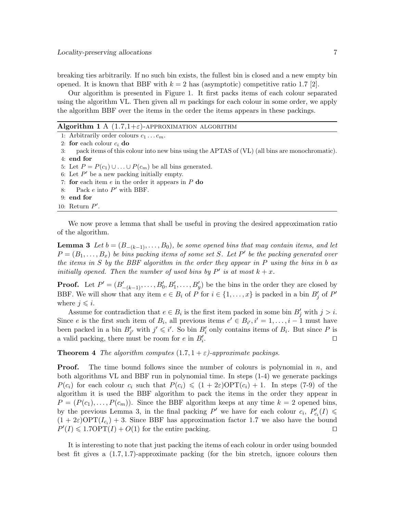breaking ties arbitrarily. If no such bin exists, the fullest bin is closed and a new empty bin opened. It is known that BBF with  $k = 2$  has (asymptotic) competitive ratio 1.7 [2].

Our algorithm is presented in Figure 1. It first packs items of each colour separated using the algorithm VL. Then given all m packings for each colour in some order, we apply the algorithm BBF over the items in the order the items appears in these packings.

| Algorithm 1 A $(1.7,1+\varepsilon)$ -APPROXIMATION ALGORITHM |
|--------------------------------------------------------------|
|--------------------------------------------------------------|

1: Arbitrarily order colours  $c_1 \ldots c_m$ . 2: for each colour  $c_i$  do 3: pack items of this colour into new bins using the APTAS of (VL) (all bins are monochromatic). 4: end for 5: Let  $P = P(c_1) \cup ... \cup P(c_m)$  be all bins generated. 6: Let  $P'$  be a new packing initially empty. 7: for each item  $e$  in the order it appears in  $P$  do 8: Pack  $e$  into  $P'$  with BBF. 9: end for 10: Return  $P'$ .

We now prove a lemma that shall be useful in proving the desired approximation ratio of the algorithm.

**Lemma 3** Let  $b = (B_{-(k-1)}, \ldots, B_0)$ , be some opened bins that may contain items, and let  $P = (B_1, \ldots, B_x)$  be bins packing items of some set S. Let P' be the packing generated over the items in S by the BBF algorithm in the order they appear in  $P$  using the bins in b as initially opened. Then the number of used bins by  $P'$  is at most  $k + x$ .

**Proof.** Let  $P' = (B'_{-(k-1)}, \ldots, B'_0, B'_1, \ldots, B'_y)$  be the bins in the order they are closed by BBF. We will show that any item  $e \in B_i$  of P for  $i \in \{1, \ldots, x\}$  is packed in a bin  $B'_j$  of P' where  $j \leq i$ .

Assume for contradiction that  $e \in B_i$  is the first item packed in some bin  $B'_j$  with  $j > i$ . Since e is the first such item of  $B_i$ , all previous items  $e' \in B_{i'}, i' = 1, \ldots, i - 1$  must have been packed in a bin  $B'_{j'}$  with  $j' \leq i'$ . So bin  $B'_{i}$  only contains items of  $B_{i}$ . But since P is a valid packing, there must be room for  $e$  in  $B_i'$ . **In the contract of the contract of the contract of the contract of the contract of the contract of the contract of the contract of the contract of the contract of the contract of the contract of the contract of the cont** 

**Theorem 4** The algorithm computes  $(1.7, 1 + \varepsilon)$ -approximate packings.

**Proof.** The time bound follows since the number of colours is polynomial in  $n$ , and both algorithms VL and BBF run in polynomial time. In steps (1-4) we generate packings  $P(c_i)$  for each colour  $c_i$  such that  $P(c_i) \leq (1 + 2\varepsilon) \text{OPT}(c_i) + 1$ . In steps (7-9) of the algorithm it is used the BBF algorithm to pack the items in the order they appear in  $P = (P(c_1), \ldots, P(c_m))$ . Since the BBF algorithm keeps at any time  $k = 2$  opened bins, by the previous Lemma 3, in the final packing  $P'$  we have for each colour  $c_i$ ,  $P'_{c_i}(I) \leq$  $(1 + 2\varepsilon) \text{OPT}(I_{c_i}) + 3$ . Since BBF has approximation factor 1.7 we also have the bound  $P'(I) \leqslant 1.7 \text{OPT}(I) + O(1)$  for the entire packing.

It is interesting to note that just packing the items of each colour in order using bounded best fit gives a  $(1.7, 1.7)$ -approximate packing (for the bin stretch, ignore colours then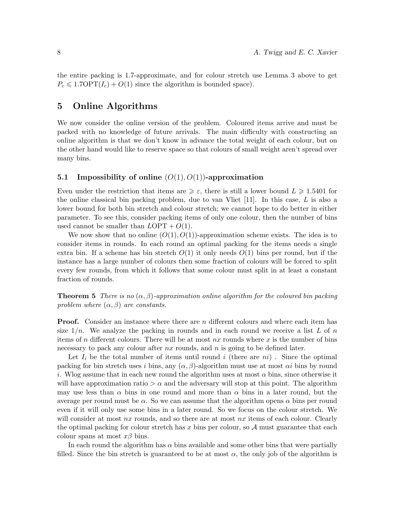the entire packing is 1.7-approximate, and for colour stretch use Lemma 3 above to get  $P_c \leqslant 1.7 \text{OPT}(I_c) + O(1)$  since the algorithm is bounded space).

# 5 Online Algorithms

We now consider the online version of the problem. Coloured items arrive and must be packed with no knowledge of future arrivals. The main difficulty with constructing an online algorithm is that we don't know in advance the total weight of each colour, but on the other hand would like to reserve space so that colours of small weight aren't spread over many bins.

## 5.1 Impossibility of online  $(O(1), O(1))$ -approximation

Even under the restriction that items are  $\geqslant \varepsilon$ , there is still a lower bound  $L \geqslant 1.5401$  for the online classical bin packing problem, due to van Vliet  $[11]$ . In this case, L is also a lower bound for both bin stretch and colour stretch; we cannot hope to do better in either parameter. To see this, consider packing items of only one colour, then the number of bins used cannot be smaller than  $LOPT + O(1)$ .

We now show that no online  $(O(1), O(1))$ -approximation scheme exists. The idea is to consider items in rounds. In each round an optimal packing for the items needs a single extra bin. If a scheme has bin stretch  $O(1)$  it only needs  $O(1)$  bins per round, but if the instance has a large number of colours then some fraction of colours will be forced to split every few rounds, from which it follows that some colour must split in at least a constant fraction of rounds.

**Theorem 5** There is no  $(\alpha, \beta)$ -approximation online algorithm for the coloured bin packing problem where  $(\alpha, \beta)$  are constants.

**Proof.** Consider an instance where there are n different colours and where each item has size  $1/n$ . We analyze the packing in rounds and in each round we receive a list L of n items of n different colours. There will be at most nx rounds where x is the number of bins necessary to pack any colour after  $nx$  rounds, and n is going to be defined later.

Let  $I_i$  be the total number of items until round i (there are ni). Since the optimal packing for bin stretch uses i bins, any  $(\alpha, \beta)$ -algorithm must use at most  $\alpha i$  bins by round i. Who assume that in each new round the algorithm uses at most  $\alpha$  bins, since otherwise it will have approximation ratio  $>\alpha$  and the adversary will stop at this point. The algorithm may use less than  $\alpha$  bins in one round and more than  $\alpha$  bins in a later round, but the average per round must be  $\alpha$ . So we can assume that the algorithm opens  $\alpha$  bins per round even if it will only use some bins in a later round. So we focus on the colour stretch. We will consider at most  $nx$  rounds, and so there are at most  $nx$  items of each colour. Clearly the optimal packing for colour stretch has x bins per colour, so  $\mathcal A$  must guarantee that each colour spans at most  $x\beta$  bins.

In each round the algorithm has  $\alpha$  bins available and some other bins that were partially filled. Since the bin stretch is guaranteed to be at most  $\alpha$ , the only job of the algorithm is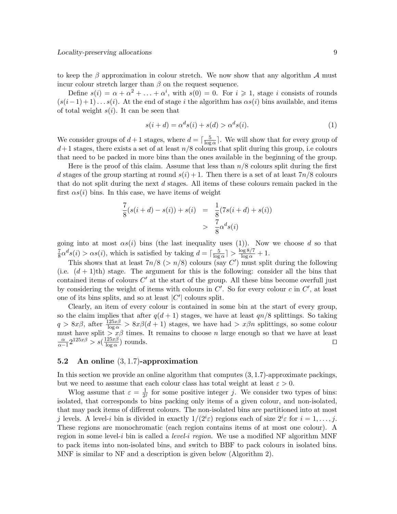to keep the  $\beta$  approximation in colour stretch. We now show that any algorithm  $\mathcal A$  must incur colour stretch larger than  $\beta$  on the request sequence.

Define  $s(i) = \alpha + \alpha^2 + \ldots + \alpha^i$ , with  $s(0) = 0$ . For  $i \geq 1$ , stage i consists of rounds  $(s(i-1)+1)... s(i)$ . At the end of stage i the algorithm has  $\alpha s(i)$  bins available, and items of total weight  $s(i)$ . It can be seen that

$$
s(i+d) = \alpha^d s(i) + s(d) > \alpha^d s(i). \tag{1}
$$

We consider groups of  $d+1$  stages, where  $d = \lceil \frac{5}{\log n} \rceil$  $\frac{5}{\log \alpha}$ . We will show that for every group of  $d+1$  stages, there exists a set of at least  $n/8$  colours that split during this group, i.e colours that need to be packed in more bins than the ones available in the beginning of the group.

Here is the proof of this claim. Assume that less than  $n/8$  colours split during the first d stages of the group starting at round  $s(i) + 1$ . Then there is a set of at least  $7n/8$  colours that do not split during the next d stages. All items of these colours remain packed in the first  $\alpha s(i)$  bins. In this case, we have items of weight

$$
\frac{7}{8}(s(i+d) - s(i)) + s(i) = \frac{1}{8}(7s(i+d) + s(i))
$$
  
> 
$$
\frac{7}{8}\alpha^d s(i)
$$

going into at most  $\alpha s(i)$  bins (the last inequality uses (1)). Now we choose d so that 7  $\frac{7}{8}\alpha^d s(i) > \alpha s(i)$ , which is satisfied by taking  $d = \lceil \frac{5}{\log n} \rceil$  $\frac{5}{\log \alpha}$ ] >  $\frac{\log 8/7}{\log \alpha}$  + 1.

This shows that at least  $7n/8$  ( $>n/8$ ) colours (say C') must split during the following (i.e.  $(d+1)$ th) stage. The argument for this is the following: consider all the bins that contained items of colours  $C'$  at the start of the group. All these bins become overfull just by considering the weight of items with colours in  $C'$ . So for every colour c in  $C'$ , at least one of its bins splits, and so at least  $|C'|$  colours split.

Clearly, an item of every colour is contained in some bin at the start of every group, so the claim implies that after  $q(d + 1)$  stages, we have at least  $qn/8$  splittings. So taking  $q > 8x\beta$ , after  $\frac{125x\beta}{\log \alpha} > 8x\beta(d+1)$  stages, we have had  $> x\beta n$  splittings, so some colour must have split  $\sum x\beta$  times. It remains to choose n large enough so that we have at least  $\frac{\alpha}{\alpha-1}2^{125x\beta} > s(\frac{125x\beta}{\log \alpha})$  $\frac{25x}{\log \alpha}$ ) rounds.

## 5.2 An online (3, 1.7)-approximation

In this section we provide an online algorithm that computes (3, 1.7)-approximate packings, but we need to assume that each colour class has total weight at least  $\varepsilon > 0$ .

Wlog assume that  $\varepsilon = \frac{1}{2i}$  $\frac{1}{2^{j}}$  for some positive integer j. We consider two types of bins: isolated, that corresponds to bins packing only items of a given colour, and non-isolated, that may pack items of different colours. The non-isolated bins are partitioned into at most j levels. A level-i bin is divided in exactly  $1/(2^i \varepsilon)$  regions each of size  $2^i \varepsilon$  for  $i = 1, \ldots, j$ . These regions are monochromatic (each region contains items of at most one colour). A region in some level-i bin is called a *level-i region*. We use a modified NF algorithm MNF to pack items into non-isolated bins, and switch to BBF to pack colours in isolated bins. MNF is similar to NF and a description is given below (Algorithm 2).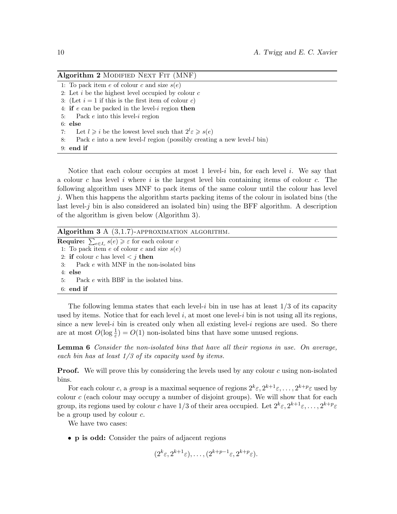| Algorithm 2 MODIFIED NEXT FIT (MNF)                                            |
|--------------------------------------------------------------------------------|
| 1: To pack item e of colour c and size $s(e)$                                  |
| 2: Let $i$ be the highest level occupied by colour $c$                         |
| 3: (Let $i = 1$ if this is the first item of colour c)                         |
| 4: if $e$ can be packed in the level-i region then                             |
| 5: Pack $e$ into this level- $i$ region                                        |
| $6:$ else                                                                      |
| Let $l \geq i$ be the lowest level such that $2^l \varepsilon \geq s(e)$<br>7: |
| Pack $e$ into a new level-l region (possibly creating a new level-l bin)<br>8: |
| $9:$ end if                                                                    |

Notice that each colour occupies at most 1 level-i bin, for each level i. We say that a colour c has level i where i is the largest level bin containing items of colour c. The following algorithm uses MNF to pack items of the same colour until the colour has level j. When this happens the algorithm starts packing items of the colour in isolated bins (the last level-j bin is also considered an isolated bin) using the BFF algorithm. A description of the algorithm is given below (Algorithm 3).

| Algorithm 3 A $(3,1.7)$ -APPROXIMATION ALGORITHM.                               |
|---------------------------------------------------------------------------------|
| <b>Require:</b> $\sum_{e \in I_c} s(e) \geqslant \varepsilon$ for each colour c |
| 1: To pack item e of colour c and size $s(e)$                                   |
| 2: if colour c has level $\lt j$ then                                           |
| Pack e with MNF in the non-isolated bins<br>3:                                  |
| $4:$ else                                                                       |
| 5: Pack e with BBF in the isolated bins.                                        |
| $6:$ end if                                                                     |

The following lemma states that each level-i bin in use has at least  $1/3$  of its capacity used by items. Notice that for each level  $i$ , at most one level- $i$  bin is not using all its regions, since a new level-i bin is created only when all existing level-i regions are used. So there are at most  $O(\log \frac{1}{\varepsilon}) = O(1)$  non-isolated bins that have some unused regions.

**Lemma 6** Consider the non-isolated bins that have all their regions in use. On average, each bin has at least  $1/3$  of its capacity used by items.

**Proof.** We will prove this by considering the levels used by any colour  $c$  using non-isolated bins.

For each colour c, a group is a maximal sequence of regions  $2^k \varepsilon, 2^{k+1} \varepsilon, \ldots, 2^{k+p} \varepsilon$  used by colour  $c$  (each colour may occupy a number of disjoint groups). We will show that for each group, its regions used by colour c have 1/3 of their area occupied. Let  $2^k \varepsilon, 2^{k+1} \varepsilon, \ldots, 2^{k+p} \varepsilon$ be a group used by colour c.

We have two cases:

• p is odd: Consider the pairs of adjacent regions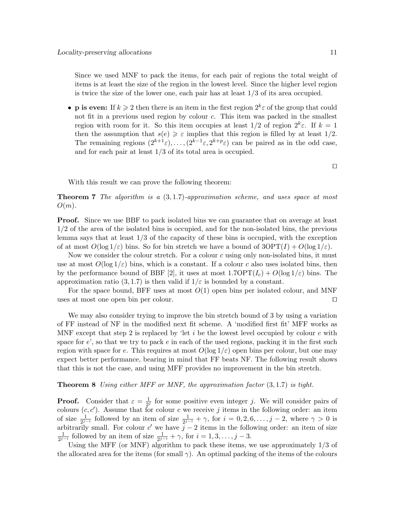Since we used MNF to pack the items, for each pair of regions the total weight of items is at least the size of the region in the lowest level. Since the higher level region is twice the size of the lower one, each pair has at least  $1/3$  of its area occupied.

• **p** is even: If  $k \geq 2$  then there is an item in the first region  $2^k \varepsilon$  of the group that could not fit in a previous used region by colour c. This item was packed in the smallest region with room for it. So this item occupies at least  $1/2$  of region  $2^k \varepsilon$ . If  $k=1$ then the assumption that  $s(e) \geqslant \varepsilon$  implies that this region is filled by at least 1/2. The remaining regions  $(2^{k+1}\varepsilon), \ldots, (2^{k-1}\varepsilon, 2^{k+p}\varepsilon)$  can be paired as in the odd case, and for each pair at least 1/3 of its total area is occupied.

With this result we can prove the following theorem:

**Theorem 7** The algorithm is a  $(3,1.7)$ -approximation scheme, and uses space at most  $O(m)$ .

Proof. Since we use BBF to pack isolated bins we can guarantee that on average at least 1/2 of the area of the isolated bins is occupied, and for the non-isolated bins, the previous lemma says that at least 1/3 of the capacity of these bins is occupied, with the exception of at most  $O(\log 1/\varepsilon)$  bins. So for bin stretch we have a bound of  $3\text{OPT}(I) + O(\log 1/\varepsilon)$ .

Now we consider the colour stretch. For a colour  $c$  using only non-isolated bins, it must use at most  $O(\log 1/\varepsilon)$  bins, which is a constant. If a colour c also uses isolated bins, then by the performance bound of BBF [2], it uses at most  $1.7OPT(I_c) + O(\log 1/\varepsilon)$  bins. The approximation ratio (3, 1.7) is then valid if  $1/\varepsilon$  is bounded by a constant.

For the space bound, BFF uses at most  $O(1)$  open bins per isolated colour, and MNF uses at most one open bin per colour.  $\Box$ 

We may also consider trying to improve the bin stretch bound of 3 by using a variation of FF instead of NF in the modified next fit scheme. A 'modified first fit' MFF works as MNF except that step 2 is replaced by 'let  $i$  be the lowest level occupied by colour  $c$  with space for  $e'$ , so that we try to pack  $e$  in each of the used regions, packing it in the first such region with space for e. This requires at most  $O(\log 1/\varepsilon)$  open bins per colour, but one may expect better performance, bearing in mind that FF beats NF. The following result shows that this is not the case, and using MFF provides no improvement in the bin stretch.

#### **Theorem 8** Using either MFF or MNF, the approximation factor  $(3, 1.7)$  is tight.

**Proof.** Consider that  $\varepsilon = \frac{1}{2}$  $\frac{1}{2^{j}}$  for some positive even integer j. We will consider pairs of colours  $(c, c')$ . Assume that for colour c we receive j items in the following order: an item of size  $\frac{1}{2^{j-i}}$  followed by an item of size  $\frac{1}{2^{j-i}} + \gamma$ , for  $i = 0, 2, 6, \ldots, j-2$ , where  $\gamma > 0$  is arbitrarily small. For colour c' we have  $\tilde{j} - 2$  items in the following order: an item of size 1  $\frac{1}{2^{j-i}}$  followed by an item of size  $\frac{1}{2^{j-i}} + \gamma$ , for  $i = 1, 3, \ldots, j-3$ .

Using the MFF (or MNF) algorithm to pack these items, we use approximately 1/3 of the allocated area for the items (for small  $\gamma$ ). An optimal packing of the items of the colours

 $\Box$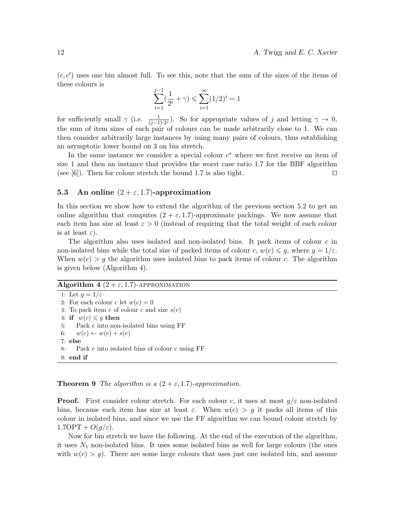$(c, c')$  uses one bin almost full. To see this, note that the sum of the sizes of the items of these colours is

$$
\sum_{i=1}^{j-1} (\frac{1}{2^i} + \gamma) \leqslant \sum_{i=1}^{\infty} (1/2)^i = 1
$$

for sufficiently small  $\gamma$  (i.e.  $\frac{1}{(j-1)\cdot 2^j}$ ). So for appropriate values of j and letting  $\gamma \to 0$ , the sum of item sizes of each pair of colours can be made arbitrarily close to 1. We can then consider arbitrarily large instances by using many pairs of colours, thus establishing an asymptotic lower bound on 3 on bin stretch.

In the same instance we consider a special colour  $c^*$  where we first receive an item of size 1 and then an instance that provides the worst case ratio 1.7 for the BBF algorithm (see [6]). Then for colour stretch the bound 1.7 is also tight.  $\square$ 

### 5.3 An online  $(2 + \varepsilon, 1.7)$ -approximation

In this section we show how to extend the algorithm of the previous section 5.2 to get an online algorithm that computes  $(2 + \varepsilon, 1.7)$ -approximate packings. We now assume that each item has size at least  $\varepsilon > 0$  (instead of requiring that the total weight of each colour is at least  $\varepsilon$ ).

The algorithm also uses isolated and non-isolated bins. It pack items of colour  $c$  in non-isolated bins while the total size of packed items of colour c,  $w(c) \leq g$ , where  $g = 1/\varepsilon$ . When  $w(c) > g$  the algorithm uses isolated bins to pack items of colour c. The algorithm is given below (Algorithm 4).

#### Algorithm 4  $(2 + \varepsilon, 1.7)$ -APPROXIMATION

1: Let  $q=1/\varepsilon$ 2: For each colour c let  $w(c) = 0$ 3: To pack item  $e$  of colour  $c$  and size  $s(e)$ 4: if  $w(c) \leqslant g$  then 5: Pack e into non-isolated bins using FF 6:  $w(c) \leftarrow w(c) + s(e)$ 7: else 8: Pack  $e$  into isolated bins of colour  $c$  using FF 9: end if

**Theorem 9** The algorithm is a  $(2 + \varepsilon, 1.7)$ -approximation.

**Proof.** First consider colour stretch. For each colour c, it uses at most  $q/\varepsilon$  non-isolated bins, because each item has size at least  $\varepsilon$ . When  $w(c) > g$  it packs all items of this colour in isolated bins, and since we use the FF algorithm we can bound colour stretch by  $1.7 \text{OPT} + O(g/\varepsilon).$ 

Now for bin stretch we have the following. At the end of the execution of the algorithm, it uses  $N_1$  non-isolated bins. It uses some isolated bins as well for large colours (the ones with  $w(c) > g$ . There are some large colours that uses just one isolated bin, and assume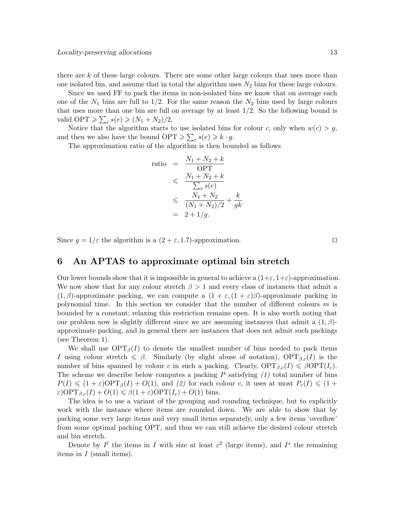there are k of these large colours. There are some other large colours that uses more than one isolated bin, and assume that in total the algorithm uses  $N_2$  bins for these large colours.

Since we used FF to pack the items in non-isolated bins we know that on average each one of the  $N_1$  bins are full to  $1/2$ . For the same reason the  $N_2$  bins used by large colours that uses more than one bin are full on average by at least  $1/2$ . So the following bound is valid OPT  $\geqslant \sum_{e} s(e) \geqslant (N_1 + N_2)/2.$ 

Notice that the algorithm starts to use isolated bins for colour c, only when  $w(c) > g$ , and then we also have the bound  $\text{OPT} \geqslant \sum_{e} s(e) \geqslant k \cdot g$ .

The approximation ratio of the algorithm is then bounded as follows

ratio = 
$$
\frac{N_1 + N_2 + k}{\text{OPT}}
$$

$$
\leqslant \frac{N_1 + N_2 + k}{\sum_{e} s(e)}
$$

$$
\leqslant \frac{N_1 + N_2}{(N_1 + N_2)/2} + \frac{k}{gk}
$$

$$
= 2 + 1/g.
$$

Since  $g = 1/\varepsilon$  the algorithm is a  $(2 + \varepsilon, 1.7)$ -approximation.

6 An APTAS to approximate optimal bin stretch

Our lower bounds show that it is impossible in general to achieve a  $(1+\varepsilon, 1+\varepsilon)$ -approximation. We now show that for any colour stretch  $\beta > 1$  and every class of instances that admit a  $(1, \beta)$ -approximate packing, we can compute a  $(1 + \varepsilon, (1 + \varepsilon)\beta)$ -approximate packing in polynomial time. In this section we consider that the number of different colours  $m$  is bounded by a constant; relaxing this restriction remains open. It is also worth noting that our problem now is slightly different since we are assuming instances that admit a  $(1, \beta)$ approximate packing, and in general there are instances that does not admit such packings (see Theorem 1).

We shall use  $\text{OPT}_{\beta}(I)$  to denote the smallest number of bins needed to pack items I using colour stretch  $\leq \beta$ . Similarly (by slight abuse of notation),  $\text{OPT}_{\beta,c}(I)$  is the number of bins spanned by colour c in such a packing. Clearly,  $\text{OPT}_{\beta,c}(I) \leq \beta \text{OPT}(I_c)$ . The scheme we describe below computes a packing  $P$  satisfying  $(1)$  total number of bins  $P(I) \leq (1+\varepsilon) \text{OPT}_{\beta}(I) + O(1)$ , and (2) for each colour c, it uses at most  $P_c(I) \leq (1+\varepsilon)$  $\varepsilon$ )OPT<sub> $\beta_c(I) + O(1) \leq \beta(1+\varepsilon)$ OPT $(I_c) + O(1)$  bins.</sub>

The idea is to use a variant of the grouping and rounding technique, but to explicitly work with the instance where items are rounded down. We are able to show that by packing some very large items and very small items separately, only a few items 'overflow' from some optimal packing OPT, and thus we can still achieve the desired colour stretch and bin stretch.

Denote by  $I^l$  the items in I with size at least  $\varepsilon^2$  (large items), and I<sup>s</sup> the remaining items in I (small items).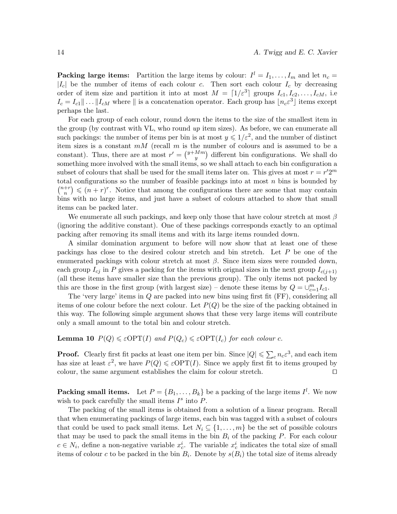**Packing large items:** Partition the large items by colour:  $I^l = I_1, \ldots, I_m$  and let  $n_c =$  $|I_c|$  be the number of items of each colour c. Then sort each colour  $I_c$  by decreasing order of item size and partition it into at most  $M = \lceil 1/\varepsilon^3 \rceil$  groups  $I_{c1}, I_{c2}, \ldots, I_{cM}$ , i.e  $I_c = I_{c1} \|\ldots\| I_{cM}$  where  $\|\$ is a concatenation operator. Each group has  $\lfloor n_c \varepsilon^3 \rfloor$  items except perhaps the last.

For each group of each colour, round down the items to the size of the smallest item in the group (by contrast with VL, who round up item sizes). As before, we can enumerate all such packings: the number of items per bin is at most  $y \leq 1/\varepsilon^2$ , and the number of distinct item sizes is a constant  $mM$  (recall  $m$  is the number of colours and is assumed to be a constant). Thus, there are at most  $r' = \binom{y+Mm}{y}$  $\binom{Mm}{y}$  different bin configurations. We shall do something more involved with the small items, so we shall attach to each bin configuration a subset of colours that shall be used for the small items later on. This gives at most  $r = r'2^m$ total configurations so the number of feasible packings into at most  $n$  bins is bounded by  $\binom{n+r}{n}$  $\binom{+r}{n} \leqslant (n+r)^r$ . Notice that among the configurations there are some that may contain bins with no large items, and just have a subset of colours attached to show that small items can be packed later.

We enumerate all such packings, and keep only those that have colour stretch at most  $\beta$ (ignoring the additive constant). One of these packings corresponds exactly to an optimal packing after removing its small items and with its large items rounded down.

A similar domination argument to before will now show that at least one of these packings has close to the desired colour stretch and bin stretch. Let P be one of the enumerated packings with colour stretch at most  $\beta$ . Since item sizes were rounded down, each group  $I_{cj}$  in P gives a packing for the items with orignal sizes in the next group  $I_{c(i+1)}$ (all these items have smaller size than the previous group). The only items not packed by this are those in the first group (with largest size) – denote these items by  $Q = \bigcup_{c=1}^{m} I_{c1}$ .

The 'very large' items in Q are packed into new bins using first fit (FF), considering all items of one colour before the next colour. Let  $P(Q)$  be the size of the packing obtained in this way. The following simple argument shows that these very large items will contribute only a small amount to the total bin and colour stretch.

#### **Lemma 10**  $P(Q) \leq \varepsilon \text{OPT}(I)$  and  $P(Q_c) \leq \varepsilon \text{OPT}(I_c)$  for each colour c.

**Proof.** Clearly first fit packs at least one item per bin. Since  $|Q| \leq \sum_{c} n_c \varepsilon^3$ , and each item has size at least  $\varepsilon^2$ , we have  $P(Q) \leq \varepsilon \text{OPT}(I)$ . Since we apply first fit to items grouped by colour, the same argument establishes the claim for colour stretch.  $\Box$ 

**Packing small items.** Let  $P = \{B_1, \ldots, B_k\}$  be a packing of the large items  $I^l$ . We now wish to pack carefully the small items  $I^s$  into  $P$ .

The packing of the small items is obtained from a solution of a linear program. Recall that when enumerating packings of large items, each bin was tagged with a subset of colours that could be used to pack small items. Let  $N_i \subseteq \{1, \ldots, m\}$  be the set of possible colours that may be used to pack the small items in the bin  $B_i$  of the packing P. For each colour  $c \in N_i$ , define a non-negative variable  $x_c^i$ . The variable  $x_c^i$  indicates the total size of small items of colour c to be packed in the bin  $B_i$ . Denote by  $s(B_i)$  the total size of items already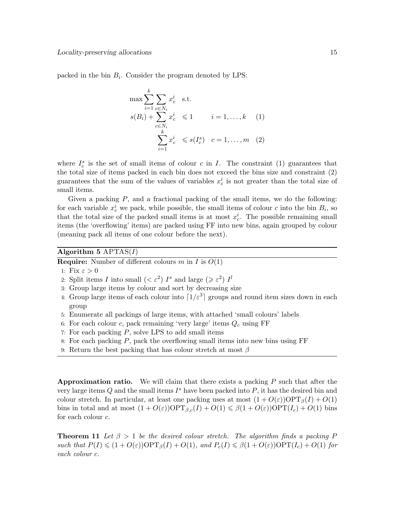packed in the bin  $B_i$ . Consider the program denoted by LPS:

$$
\max \sum_{i=1}^{k} \sum_{c \in N_i} x_c^i \quad \text{s.t.}
$$
  

$$
s(B_i) + \sum_{c \in N_i} x_c^i \leq 1 \qquad i = 1, ..., k \quad (1)
$$
  

$$
\sum_{i=1}^{k} x_c^i \leq s(I_c^s) \quad c = 1, ..., m \quad (2)
$$

where  $I_c^s$  is the set of small items of colour c in I. The constraint (1) guarantees that the total size of items packed in each bin does not exceed the bins size and constraint (2) guarantees that the sum of the values of variables  $x_c^i$  is not greater than the total size of small items.

Given a packing  $P$ , and a fractional packing of the small items, we do the following: for each variable  $x_c^i$  we pack, while possible, the small items of colour c into the bin  $B_i$ , so that the total size of the packed small items is at most  $x_c^i$ . The possible remaining small items (the 'overflowing' items) are packed using FF into new bins, again grouped by colour (meaning pack all items of one colour before the next).

#### Algorithm 5  $\text{APTAS}(I)$

**Require:** Number of different colours m in I is  $O(1)$ 

- 1: Fix  $\varepsilon > 0$
- 2: Split items I into small  $( $\varepsilon^2$ )$  I<sup>s</sup> and large ( $\geq \varepsilon^2$ ) I<sup>l</sup>
- 3: Group large items by colour and sort by decreasing size
- 4: Group large items of each colour into  $\left[1/\varepsilon^3\right]$  groups and round item sizes down in each group
- 5: Enumerate all packings of large items, with attached 'small colours' labels
- 6: For each colour c, pack remaining 'very large' items  $Q_c$  using FF
- 7: For each packing  $P$ , solve LPS to add small items
- 8: For each packing  $P$ , pack the overflowing small items into new bins using  $\overline{FF}$
- 9: Return the best packing that has colour stretch at most  $\beta$

**Approximation ratio.** We will claim that there exists a packing  $P$  such that after the very large items  $Q$  and the small items  $I^s$  have been packed into  $P$ , it has the desired bin and colour stretch. In particular, at least one packing uses at most  $(1 + O(\varepsilon))\text{OPT}_{\beta}(I) + O(1)$ bins in total and at most  $(1 + O(\varepsilon))$ OPT $_{\beta,c}(I) + O(1) \leq \beta(1 + O(\varepsilon))$ OPT $(I_c) + O(1)$  bins for each colour c.

**Theorem 11** Let  $\beta > 1$  be the desired colour stretch. The algorithm finds a packing P such that  $P(I) \leq (1 + O(\varepsilon)) \text{OPT}_{\beta}(I) + O(1)$ , and  $P_c(I) \leq \beta(1 + O(\varepsilon)) \text{OPT}(I_c) + O(1)$  for each colour c.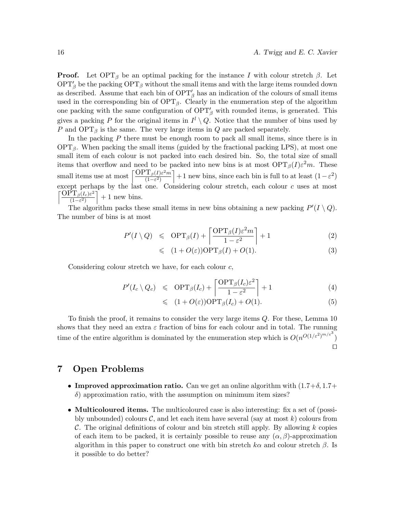**Proof.** Let  $\text{OPT}_{\beta}$  be an optimal packing for the instance I with colour stretch  $\beta$ . Let  $\text{OPT}'_{\beta}$  be the packing  $\text{OPT}_{\beta}$  without the small items and with the large items rounded down as described. Assume that each bin of  $\text{OPT}'_{\beta}$  has an indication of the colours of small items used in the corresponding bin of  $\text{OPT}_{\beta}$ . Clearly in the enumeration step of the algorithm one packing with the same configuration of  $\text{OPT}'_{\beta}$  with rounded items, is generated. This gives a packing P for the original items in  $I^l \setminus Q$ . Notice that the number of bins used by P and  $\text{OPT}_{\beta}$  is the same. The very large items in Q are packed separately.

In the packing  $P$  there must be enough room to pack all small items, since there is in  $\text{OPT}_{\beta}$ . When packing the small items (guided by the fractional packing LPS), at most one small item of each colour is not packed into each desired bin. So, the total size of small items that overflow and need to be packed into new bins is at most  $\text{OPT}_{\beta}(I)\varepsilon^2 m$ . These small items use at most  $\left[\frac{\text{OPT}_{\beta}(I)\varepsilon^2 m}{(1-\varepsilon^2)}\right]$  $\left(\frac{T_{\beta}(I)\varepsilon^2 m}{(1-\varepsilon^2)}\right) + 1$  new bins, since each bin is full to at least  $(1-\varepsilon^2)$ except perhaps by the last one. Considering colour stretch, each colour c uses at most  $\int \frac{\overline{\mathrm{OPT}}_{\beta}(I_c) \varepsilon^2}{\beta}$  $\frac{\mathrm{P}\mathrm{T}_{\beta}(I_c)\varepsilon^2}{(1-\varepsilon^2)}$  + 1 new bins.

The algorithm packs these small items in new bins obtaining a new packing  $P'(I \setminus Q)$ . The number of bins is at most

$$
P'(I \setminus Q) \leqslant \text{OPT}_{\beta}(I) + \left\lceil \frac{\text{OPT}_{\beta}(I)\varepsilon^2 m}{1 - \varepsilon^2} \right\rceil + 1 \tag{2}
$$

$$
\leqslant (1 + O(\varepsilon)) \text{OPT}_{\beta}(I) + O(1). \tag{3}
$$

Considering colour stretch we have, for each colour c,

$$
P'(I_c \setminus Q_c) \leqslant \text{OPT}_{\beta}(I_c) + \left\lceil \frac{\text{OPT}_{\beta}(I_c)\varepsilon^2}{1 - \varepsilon^2} \right\rceil + 1 \tag{4}
$$

$$
\leqslant (1 + O(\varepsilon)) \text{OPT}_{\beta}(I_c) + O(1). \tag{5}
$$

To finish the proof, it remains to consider the very large items Q. For these, Lemma 10 shows that they need an extra  $\varepsilon$  fraction of bins for each colour and in total. The running time of the entire algorithm is dominated by the enumeration step which is  $O(n^{O(1/\varepsilon^2)^{m/\varepsilon^3}})$  $\Box$ 

## 7 Open Problems

- Improved approximation ratio. Can we get an online algorithm with  $(1.7+\delta, 1.7+\delta, 1.7+\delta, 1.7+\delta, 1.7+\delta, 1.7+\delta, 1.7+\delta, 1.7+\delta, 1.7+\delta, 1.7+\delta, 1.7+\delta, 1.7+\delta, 1.7+\delta, 1.7+\delta, 1.7+\delta, 1.7+\delta, 1.7+\delta, 1.7+\delta, 1.7+\delta, 1.7+\delta, 1.7+\delta, 1.7+\$  $\delta$ ) approximation ratio, with the assumption on minimum item sizes?
- Multicoloured items. The multicoloured case is also interesting: fix a set of (possibly unbounded) colours  $\mathcal{C}$ , and let each item have several (say at most k) colours from C. The original definitions of colour and bin stretch still apply. By allowing  $k$  copies of each item to be packed, it is certainly possible to reuse any  $(\alpha, \beta)$ -approximation algorithm in this paper to construct one with bin stretch  $k\alpha$  and colour stretch  $\beta$ . Is it possible to do better?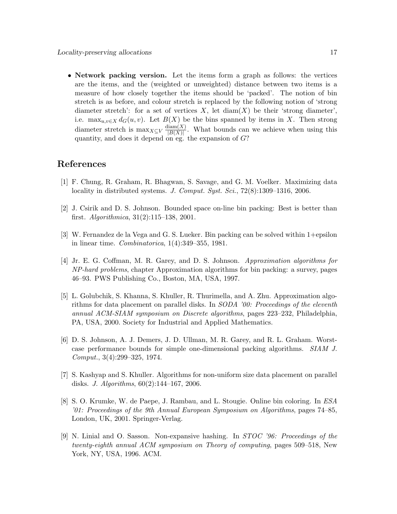• Network packing version. Let the items form a graph as follows: the vertices are the items, and the (weighted or unweighted) distance between two items is a measure of how closely together the items should be 'packed'. The notion of bin stretch is as before, and colour stretch is replaced by the following notion of 'strong diameter stretch': for a set of vertices  $X$ , let  $\text{diam}(X)$  be their 'strong diameter', i.e.  $\max_{u,v\in X} d_G(u,v)$ . Let  $B(X)$  be the bins spanned by items in X. Then strong diameter stretch is  $\max_{X \subseteq V} \frac{\text{diam}(X)}{|B(X)|}$  $\frac{\text{diam}(X)}{|B(X)|}$ . What bounds can we achieve when using this quantity, and does it depend on eg. the expansion of  $G$ ?

# References

- [1] F. Chung, R. Graham, R. Bhagwan, S. Savage, and G. M. Voelker. Maximizing data locality in distributed systems. J. Comput. Syst. Sci., 72(8):1309–1316, 2006.
- [2] J. Csirik and D. S. Johnson. Bounded space on-line bin packing: Best is better than first. Algorithmica, 31(2):115–138, 2001.
- [3] W. Fernandez de la Vega and G. S. Lueker. Bin packing can be solved within 1+epsilon in linear time. Combinatorica, 1(4):349–355, 1981.
- [4] Jr. E. G. Coffman, M. R. Garey, and D. S. Johnson. Approximation algorithms for NP-hard problems, chapter Approximation algorithms for bin packing: a survey, pages 46–93. PWS Publishing Co., Boston, MA, USA, 1997.
- [5] L. Golubchik, S. Khanna, S. Khuller, R. Thurimella, and A. Zhu. Approximation algorithms for data placement on parallel disks. In *SODA '00: Proceedings of the eleventh* annual ACM-SIAM symposium on Discrete algorithms, pages 223–232, Philadelphia, PA, USA, 2000. Society for Industrial and Applied Mathematics.
- [6] D. S. Johnson, A. J. Demers, J. D. Ullman, M. R. Garey, and R. L. Graham. Worstcase performance bounds for simple one-dimensional packing algorithms. SIAM J. Comput., 3(4):299–325, 1974.
- [7] S. Kashyap and S. Khuller. Algorithms for non-uniform size data placement on parallel disks. J. Algorithms, 60(2):144–167, 2006.
- [8] S. O. Krumke, W. de Paepe, J. Rambau, and L. Stougie. Online bin coloring. In ESA '01: Proceedings of the 9th Annual European Symposium on Algorithms, pages 74–85, London, UK, 2001. Springer-Verlag.
- [9] N. Linial and O. Sasson. Non-expansive hashing. In STOC '96: Proceedings of the twenty-eighth annual ACM symposium on Theory of computing, pages 509–518, New York, NY, USA, 1996. ACM.